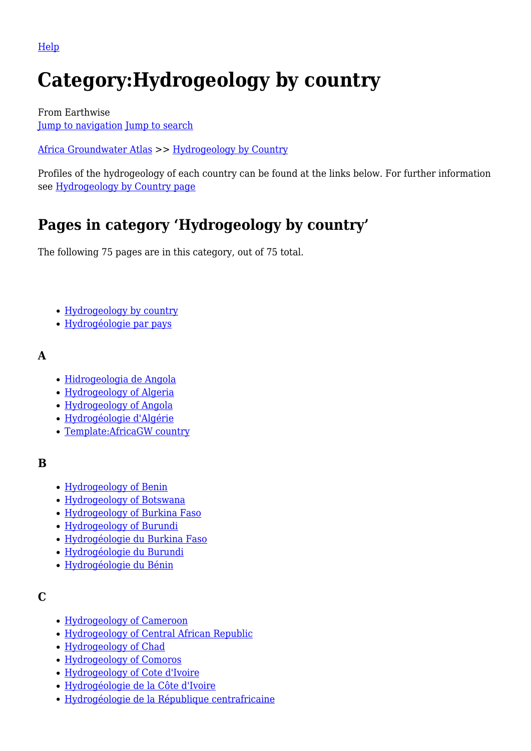[Help](http://www.mediawiki.org/wiki/Special:MyLanguage/Help:Categories)

# **Category:Hydrogeology by country**

From Earthwise [Jump to navigation](#page--1-0) [Jump to search](#page--1-0)

[Africa Groundwater Atlas](http://earthwise.bgs.ac.uk/index.php/Africa_Groundwater_Atlas_Home) >> [Hydrogeology by Country](http://earthwise.bgs.ac.uk/index.php/Hydrogeology_by_country)

Profiles of the hydrogeology of each country can be found at the links below. For further information see [Hydrogeology by Country page](http://earthwise.bgs.ac.uk/index.php/Hydrogeology_by_country)

# **Pages in category 'Hydrogeology by country'**

The following 75 pages are in this category, out of 75 total.

- [Hydrogeology by country](http://earthwise.bgs.ac.uk/index.php/Hydrogeology_by_country)
- [Hydrogéologie par pays](http://earthwise.bgs.ac.uk/index.php/Hydrog%C3%A9ologie_par_pays)

#### **A**

- [Hidrogeologia de Angola](http://earthwise.bgs.ac.uk/index.php/Hidrogeologia_de_Angola)
- [Hydrogeology of Algeria](http://earthwise.bgs.ac.uk/index.php/Hydrogeology_of_Algeria)
- [Hydrogeology of Angola](http://earthwise.bgs.ac.uk/index.php/Hydrogeology_of_Angola)
- [Hydrogéologie d'Algérie](http://earthwise.bgs.ac.uk/index.php/Hydrog%C3%A9ologie_d%27Alg%C3%A9rie)
- [Template:AfricaGW country](http://earthwise.bgs.ac.uk/index.php/Template:AfricaGW_country)

### **B**

- [Hydrogeology of Benin](http://earthwise.bgs.ac.uk/index.php/Hydrogeology_of_Benin)
- [Hydrogeology of Botswana](http://earthwise.bgs.ac.uk/index.php/Hydrogeology_of_Botswana)
- [Hydrogeology of Burkina Faso](http://earthwise.bgs.ac.uk/index.php/Hydrogeology_of_Burkina_Faso)
- [Hydrogeology of Burundi](http://earthwise.bgs.ac.uk/index.php/Hydrogeology_of_Burundi)
- [Hydrogéologie du Burkina Faso](http://earthwise.bgs.ac.uk/index.php/Hydrog%C3%A9ologie_du_Burkina_Faso)
- [Hydrogéologie du Burundi](http://earthwise.bgs.ac.uk/index.php/Hydrog%C3%A9ologie_du_Burundi)
- [Hydrogéologie du Bénin](http://earthwise.bgs.ac.uk/index.php/Hydrog%C3%A9ologie_du_B%C3%A9nin)

### **C**

- [Hydrogeology of Cameroon](http://earthwise.bgs.ac.uk/index.php/Hydrogeology_of_Cameroon)
- [Hydrogeology of Central African Republic](http://earthwise.bgs.ac.uk/index.php/Hydrogeology_of_Central_African_Republic)
- [Hydrogeology of Chad](http://earthwise.bgs.ac.uk/index.php/Hydrogeology_of_Chad)
- [Hydrogeology of Comoros](http://earthwise.bgs.ac.uk/index.php/Hydrogeology_of_Comoros)
- [Hydrogeology of Cote d'Ivoire](http://earthwise.bgs.ac.uk/index.php/Hydrogeology_of_Cote_d%27Ivoire)
- [Hydrogéologie de la Côte d'Ivoire](http://earthwise.bgs.ac.uk/index.php/Hydrog%C3%A9ologie_de_la_C%C3%B4te_d%27Ivoire)
- [Hydrogéologie de la République centrafricaine](http://earthwise.bgs.ac.uk/index.php/Hydrog%C3%A9ologie_de_la_R%C3%A9publique_centrafricaine)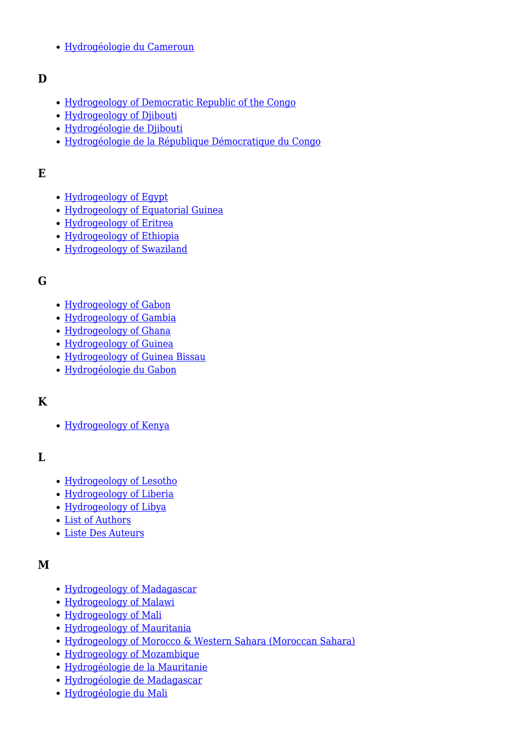[Hydrogéologie du Cameroun](http://earthwise.bgs.ac.uk/index.php/Hydrog%C3%A9ologie_du_Cameroun)

#### **D**

- [Hydrogeology of Democratic Republic of the Congo](http://earthwise.bgs.ac.uk/index.php/Hydrogeology_of_Democratic_Republic_of_the_Congo)
- [Hydrogeology of Djibouti](http://earthwise.bgs.ac.uk/index.php/Hydrogeology_of_Djibouti)
- [Hydrogéologie de Djibouti](http://earthwise.bgs.ac.uk/index.php/Hydrog%C3%A9ologie_de_Djibouti)
- [Hydrogéologie de la République Démocratique du Congo](http://earthwise.bgs.ac.uk/index.php/Hydrog%C3%A9ologie_de_la_R%C3%A9publique_D%C3%A9mocratique_du_Congo)

### **E**

- [Hydrogeology of Egypt](http://earthwise.bgs.ac.uk/index.php/Hydrogeology_of_Egypt)
- [Hydrogeology of Equatorial Guinea](http://earthwise.bgs.ac.uk/index.php/Hydrogeology_of_Equatorial_Guinea)
- [Hydrogeology of Eritrea](http://earthwise.bgs.ac.uk/index.php/Hydrogeology_of_Eritrea)
- [Hydrogeology of Ethiopia](http://earthwise.bgs.ac.uk/index.php/Hydrogeology_of_Ethiopia)
- [Hydrogeology of Swaziland](http://earthwise.bgs.ac.uk/index.php/Hydrogeology_of_Swaziland)

#### **G**

- [Hydrogeology of Gabon](http://earthwise.bgs.ac.uk/index.php/Hydrogeology_of_Gabon)
- [Hydrogeology of Gambia](http://earthwise.bgs.ac.uk/index.php/Hydrogeology_of_Gambia)
- [Hydrogeology of Ghana](http://earthwise.bgs.ac.uk/index.php/Hydrogeology_of_Ghana)
- [Hydrogeology of Guinea](http://earthwise.bgs.ac.uk/index.php/Hydrogeology_of_Guinea)
- [Hydrogeology of Guinea Bissau](http://earthwise.bgs.ac.uk/index.php/Hydrogeology_of_Guinea_Bissau)
- [Hydrogéologie du Gabon](http://earthwise.bgs.ac.uk/index.php/Hydrog%C3%A9ologie_du_Gabon)

### **K**

• [Hydrogeology of Kenya](http://earthwise.bgs.ac.uk/index.php/Hydrogeology_of_Kenya)

### **L**

- [Hydrogeology of Lesotho](http://earthwise.bgs.ac.uk/index.php/Hydrogeology_of_Lesotho)
- [Hydrogeology of Liberia](http://earthwise.bgs.ac.uk/index.php/Hydrogeology_of_Liberia)
- [Hydrogeology of Libya](http://earthwise.bgs.ac.uk/index.php/Hydrogeology_of_Libya)
- [List of Authors](http://earthwise.bgs.ac.uk/index.php/List_of_Authors)
- [Liste Des Auteurs](http://earthwise.bgs.ac.uk/index.php/Liste_Des_Auteurs)

### **M**

- [Hydrogeology of Madagascar](http://earthwise.bgs.ac.uk/index.php/Hydrogeology_of_Madagascar)
- [Hydrogeology of Malawi](http://earthwise.bgs.ac.uk/index.php/Hydrogeology_of_Malawi)
- [Hydrogeology of Mali](http://earthwise.bgs.ac.uk/index.php/Hydrogeology_of_Mali)
- [Hydrogeology of Mauritania](http://earthwise.bgs.ac.uk/index.php/Hydrogeology_of_Mauritania)
- [Hydrogeology of Morocco & Western Sahara \(Moroccan Sahara\)](http://earthwise.bgs.ac.uk/index.php/Hydrogeology_of_Morocco_%26_Western_Sahara_(Moroccan_Sahara))
- [Hydrogeology of Mozambique](http://earthwise.bgs.ac.uk/index.php/Hydrogeology_of_Mozambique)
- [Hydrogéologie de la Mauritanie](http://earthwise.bgs.ac.uk/index.php/Hydrog%C3%A9ologie_de_la_Mauritanie)
- [Hydrogéologie de Madagascar](http://earthwise.bgs.ac.uk/index.php/Hydrog%C3%A9ologie_de_Madagascar)
- [Hydrogéologie du Mali](http://earthwise.bgs.ac.uk/index.php/Hydrog%C3%A9ologie_du_Mali)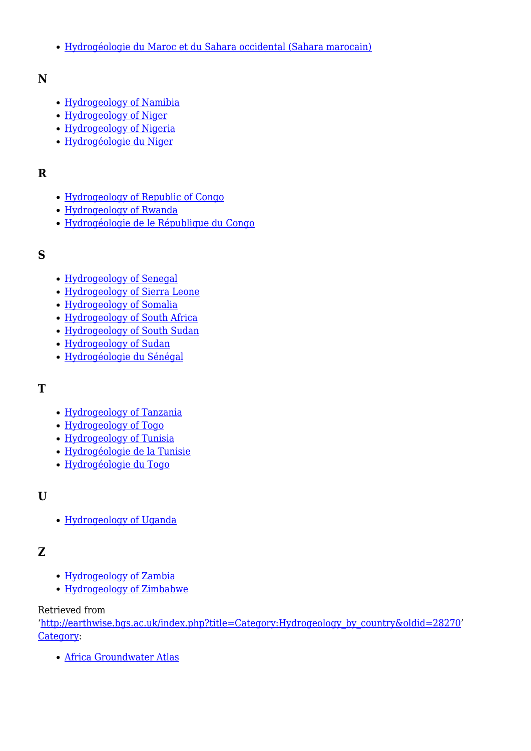[Hydrogéologie du Maroc et du Sahara occidental \(Sahara marocain\)](http://earthwise.bgs.ac.uk/index.php/Hydrog%C3%A9ologie_du_Maroc_et_du_Sahara_occidental_(Sahara_marocain))

#### **N**

- [Hydrogeology of Namibia](http://earthwise.bgs.ac.uk/index.php/Hydrogeology_of_Namibia)
- [Hydrogeology of Niger](http://earthwise.bgs.ac.uk/index.php/Hydrogeology_of_Niger)
- [Hydrogeology of Nigeria](http://earthwise.bgs.ac.uk/index.php/Hydrogeology_of_Nigeria)
- [Hydrogéologie du Niger](http://earthwise.bgs.ac.uk/index.php/Hydrog%C3%A9ologie_du_Niger)

#### **R**

- [Hydrogeology of Republic of Congo](http://earthwise.bgs.ac.uk/index.php/Hydrogeology_of_Republic_of_Congo)
- [Hydrogeology of Rwanda](http://earthwise.bgs.ac.uk/index.php/Hydrogeology_of_Rwanda)
- [Hydrogéologie de le République du Congo](http://earthwise.bgs.ac.uk/index.php/Hydrog%C3%A9ologie_de_le_R%C3%A9publique_du_Congo)

#### **S**

- [Hydrogeology of Senegal](http://earthwise.bgs.ac.uk/index.php/Hydrogeology_of_Senegal)
- [Hydrogeology of Sierra Leone](http://earthwise.bgs.ac.uk/index.php/Hydrogeology_of_Sierra_Leone)
- [Hydrogeology of Somalia](http://earthwise.bgs.ac.uk/index.php/Hydrogeology_of_Somalia)
- [Hydrogeology of South Africa](http://earthwise.bgs.ac.uk/index.php/Hydrogeology_of_South_Africa)
- [Hydrogeology of South Sudan](http://earthwise.bgs.ac.uk/index.php/Hydrogeology_of_South_Sudan)
- [Hydrogeology of Sudan](http://earthwise.bgs.ac.uk/index.php/Hydrogeology_of_Sudan)
- [Hydrogéologie du Sénégal](http://earthwise.bgs.ac.uk/index.php/Hydrog%C3%A9ologie_du_S%C3%A9n%C3%A9gal)

#### **T**

- [Hydrogeology of Tanzania](http://earthwise.bgs.ac.uk/index.php/Hydrogeology_of_Tanzania)
- [Hydrogeology of Togo](http://earthwise.bgs.ac.uk/index.php/Hydrogeology_of_Togo)
- [Hydrogeology of Tunisia](http://earthwise.bgs.ac.uk/index.php/Hydrogeology_of_Tunisia)
- [Hydrogéologie de la Tunisie](http://earthwise.bgs.ac.uk/index.php/Hydrog%C3%A9ologie_de_la_Tunisie)
- [Hydrogéologie du Togo](http://earthwise.bgs.ac.uk/index.php/Hydrog%C3%A9ologie_du_Togo)

### **U**

[Hydrogeology of Uganda](http://earthwise.bgs.ac.uk/index.php/Hydrogeology_of_Uganda)

#### **Z**

- [Hydrogeology of Zambia](http://earthwise.bgs.ac.uk/index.php/Hydrogeology_of_Zambia)
- [Hydrogeology of Zimbabwe](http://earthwise.bgs.ac.uk/index.php/Hydrogeology_of_Zimbabwe)

#### Retrieved from

'[http://earthwise.bgs.ac.uk/index.php?title=Category:Hydrogeology\\_by\\_country&oldid=28270'](http://earthwise.bgs.ac.uk/index.php?title=Category:Hydrogeology_by_country&oldid=28270) [Category](http://earthwise.bgs.ac.uk/index.php/Special:Categories):

[Africa Groundwater Atlas](http://earthwise.bgs.ac.uk/index.php/Category:Africa_Groundwater_Atlas)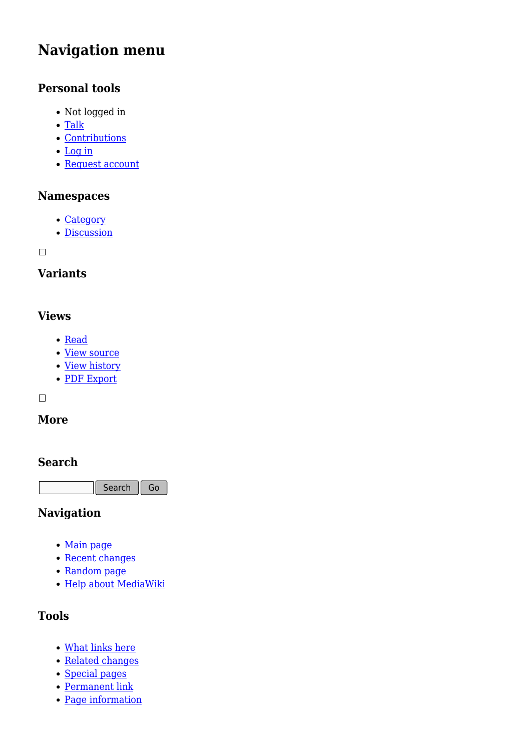# **Navigation menu**

## **Personal tools**

- Not logged in
- [Talk](http://earthwise.bgs.ac.uk/index.php/Special:MyTalk)
- [Contributions](http://earthwise.bgs.ac.uk/index.php/Special:MyContributions)
- [Log in](http://earthwise.bgs.ac.uk/index.php?title=Special:UserLogin&returnto=Category%3AHydrogeology+by+country&returntoquery=action%3Dmpdf)
- [Request account](http://earthwise.bgs.ac.uk/index.php/Special:RequestAccount)

### **Namespaces**

- [Category](http://earthwise.bgs.ac.uk/index.php/Category:Hydrogeology_by_country)
- [Discussion](http://earthwise.bgs.ac.uk/index.php?title=Category_talk:Hydrogeology_by_country&action=edit&redlink=1)

 $\Box$ 

# **Variants**

### **Views**

- [Read](http://earthwise.bgs.ac.uk/index.php/Category:Hydrogeology_by_country)
- [View source](http://earthwise.bgs.ac.uk/index.php?title=Category:Hydrogeology_by_country&action=edit)
- [View history](http://earthwise.bgs.ac.uk/index.php?title=Category:Hydrogeology_by_country&action=history)
- [PDF Export](http://earthwise.bgs.ac.uk/index.php?title=Category:Hydrogeology_by_country&action=mpdf)

 $\Box$ 

### **More**

#### **Search**

Search Go

### **Navigation**

- [Main page](http://earthwise.bgs.ac.uk/index.php/Main_Page)
- [Recent changes](http://earthwise.bgs.ac.uk/index.php/Special:RecentChanges)
- [Random page](http://earthwise.bgs.ac.uk/index.php/Special:Random)
- [Help about MediaWiki](https://www.mediawiki.org/wiki/Special:MyLanguage/Help:Contents)

# **Tools**

- [What links here](http://earthwise.bgs.ac.uk/index.php/Special:WhatLinksHere/Category:Hydrogeology_by_country)
- [Related changes](http://earthwise.bgs.ac.uk/index.php/Special:RecentChangesLinked/Category:Hydrogeology_by_country)
- [Special pages](http://earthwise.bgs.ac.uk/index.php/Special:SpecialPages)
- [Permanent link](http://earthwise.bgs.ac.uk/index.php?title=Category:Hydrogeology_by_country&oldid=28270)
- [Page information](http://earthwise.bgs.ac.uk/index.php?title=Category:Hydrogeology_by_country&action=info)